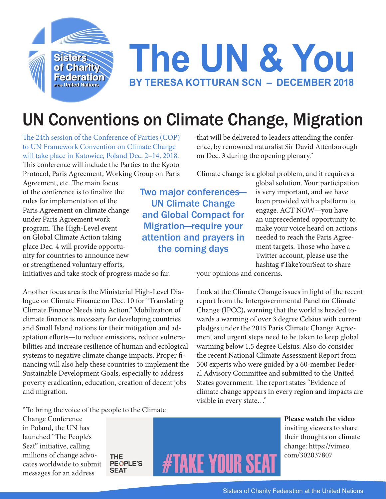

## **The UN & You BY TERESA KOTTURAN SCN – DECEMBER 2018**

## UN Conventions on Climate Change, Migration

The 24th session of the Conference of Parties (COP) to UN Framework Convention on Climate Change will take place in Katowice, Poland Dec. 2–14, 2018. This conference will include the Parties to the Kyoto Protocol, Paris Agreement, Working Group on Paris

Agreement, etc. The main focus of the conference is to finalize the rules for implementation of the Paris Agreement on climate change under Paris Agreement work program. The High-Level event on Global Climate Action taking place Dec. 4 will provide opportunity for countries to announce new or strengthened voluntary efforts,

initiatives and take stock of progress made so far.

Another focus area is the Ministerial High-Level Dialogue on Climate Finance on Dec. 10 for "Translating Climate Finance Needs into Action." Mobilization of climate finance is necessary for developing countries and Small Island nations for their mitigation and adaptation efforts—to reduce emissions, reduce vulnerabilities and increase resilience of human and ecological systems to negative climate change impacts. Proper financing will also help these countries to implement the Sustainable Development Goals, especially to address poverty eradication, education, creation of decent jobs and migration.

that will be delivered to leaders attending the conference, by renowned naturalist Sir David Attenborough on Dec. 3 during the opening plenary."

Climate change is a global problem, and it requires a

Two major conferences— UN Climate Change and Global Compact for Migration—require your attention and prayers in the coming days

global solution. Your participation is very important, and we have been provided with a platform to engage. ACT NOW—you have an unprecedented opportunity to make your voice heard on actions needed to reach the Paris Agreement targets. Those who have a Twitter account, please use the hashtag #TakeYourSeat to share

your opinions and concerns.

Look at the Climate Change issues in light of the recent report from the Intergovernmental Panel on Climate Change (IPCC), warning that the world is headed towards a warming of over 3 degree Celsius with current pledges under the 2015 Paris Climate Change Agreement and urgent steps need to be taken to keep global warming below 1.5 degree Celsius. Also do consider the recent National Climate Assessment Report from 300 experts who were guided by a 60-member Federal Advisory Committee and submitted to the United States government. The report states "Evidence of climate change appears in every region and impacts are visible in every state…"

"To bring the voice of the people to the Climate

Change Conference in Poland, the UN has launched "The People's Seat" initiative, calling millions of change advocates worldwide to submit messages for an address

**THE PEOPLE'S SEAT** 



**Please watch the video** inviting viewers to share their thoughts on climate change: https://vimeo. com/302037807